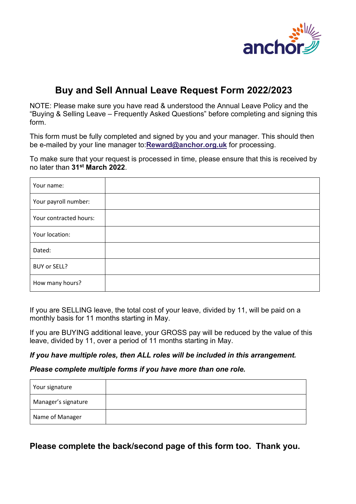

# **Buy and Sell Annual Leave Request Form 2022/2023**

NOTE: Please make sure you have read & understood the Annual Leave Policy and the "Buying & Selling Leave – Frequently Asked Questions" before completing and signing this form.

This form must be fully completed and signed by you and your manager. This should then be e-mailed by your line manager to:**[Reward@anchor.org.uk](mailto:Reward@anchor.org.uk)** for processing.

To make sure that your request is processed in time, please ensure that this is received by no later than **31st March 2022**.

| Your name:             |  |
|------------------------|--|
| Your payroll number:   |  |
| Your contracted hours: |  |
| Your location:         |  |
| Dated:                 |  |
| BUY or SELL?           |  |
| How many hours?        |  |

If you are SELLING leave, the total cost of your leave, divided by 11, will be paid on a monthly basis for 11 months starting in May.

If you are BUYING additional leave, your GROSS pay will be reduced by the value of this leave, divided by 11, over a period of 11 months starting in May.

#### *If you have multiple roles, then ALL roles will be included in this arrangement.*

#### *Please complete multiple forms if you have more than one role.*

| Your signature      |  |
|---------------------|--|
| Manager's signature |  |
| Name of Manager     |  |

**Please complete the back/second page of this form too. Thank you.**